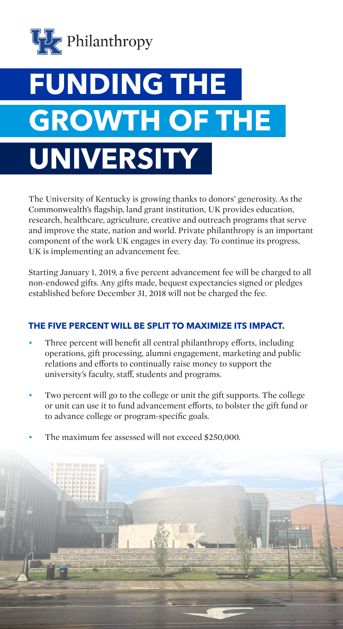

# **FUNDING THE GROWTH OF THE UNIVERSITY**

The University of Kentucky is growing thanks to donors' generosity. As the Commonwealth's flagship, land grant institution, UK provides education, research, healthcare, agriculture, creative and outreach programs that serve and improve the state, nation and world. Private philanthropy is an important component of the work UK engages in every day. To continue its progress, UK is implementing an advancement fee.

Starting January 1, 2019, a five percent advancement fee will be charged to all non-endowed gifts. Any gifts made, bequest expectancies signed or pledges established before December 31, 2018 will not be charged the fee.

#### **THE FIVE PERCENT WILL BE SPLIT TO MAXIMIZE ITS IMPACT.**

- Three percent will benefit all central philanthropy efforts, including operations, gift processing, alumni engagement, marketing and public relations and efforts to continually raise money to support the university's faculty, staff, students and programs.
- Two percent will go to the college or unit the gift supports. The college or unit can use it to fund advancement efforts, to bolster the gift fund or to advance college or program-specific goals.
- The maximum fee assessed will not exceed \$250,000.